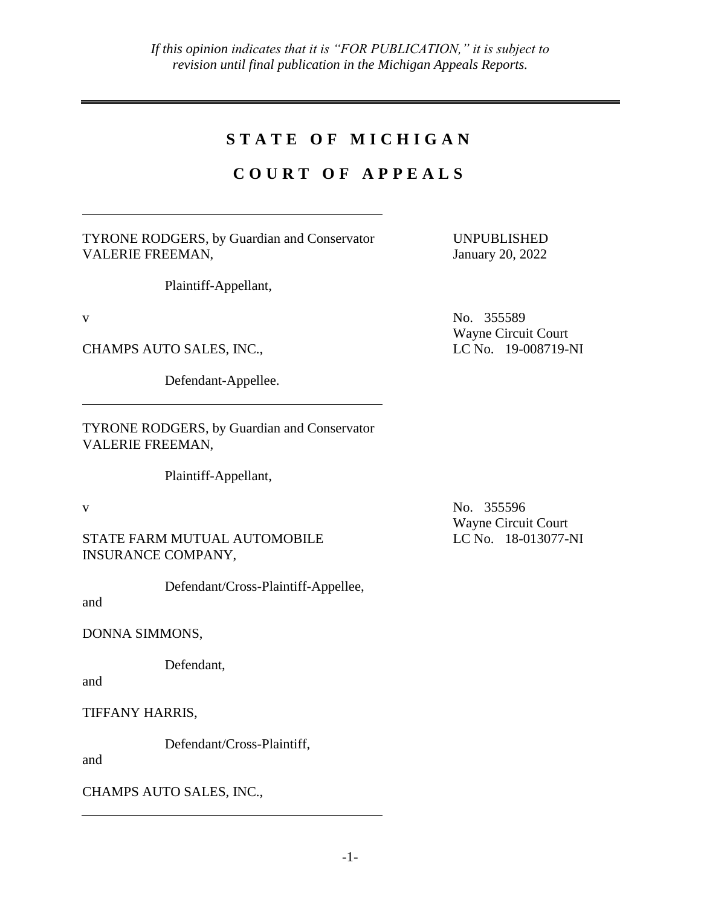## **S T A T E O F M I C H I G A N**

# **C O U R T O F A P P E A L S**

TYRONE RODGERS, by Guardian and Conservator VALERIE FREEMAN,

Plaintiff-Appellant,

CHAMPS AUTO SALES, INC., LC No. 19-008719-NI

Defendant-Appellee.

TYRONE RODGERS, by Guardian and Conservator VALERIE FREEMAN,

Plaintiff-Appellant,

STATE FARM MUTUAL AUTOMOBILE INSURANCE COMPANY,

Defendant/Cross-Plaintiff-Appellee,

and

DONNA SIMMONS,

Defendant,

and

TIFFANY HARRIS,

Defendant/Cross-Plaintiff,

and

CHAMPS AUTO SALES, INC.,

UNPUBLISHED January 20, 2022

v No. 355589 Wayne Circuit Court

v No. 355596 Wayne Circuit Court LC No. 18-013077-NI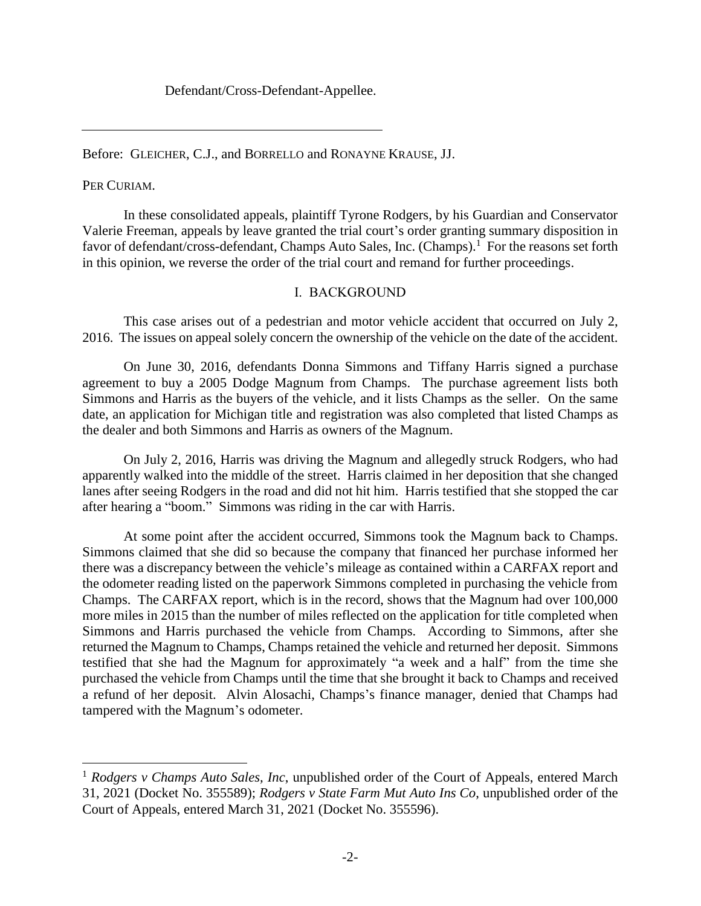Defendant/Cross-Defendant-Appellee.

Before: GLEICHER, C.J., and BORRELLO and RONAYNE KRAUSE, JJ.

PER CURIAM.

 $\overline{a}$ 

In these consolidated appeals, plaintiff Tyrone Rodgers, by his Guardian and Conservator Valerie Freeman, appeals by leave granted the trial court's order granting summary disposition in favor of defendant/cross-defendant, Champs Auto Sales, Inc. (Champs).<sup>1</sup> For the reasons set forth in this opinion, we reverse the order of the trial court and remand for further proceedings.

### I. BACKGROUND

This case arises out of a pedestrian and motor vehicle accident that occurred on July 2, 2016. The issues on appeal solely concern the ownership of the vehicle on the date of the accident.

On June 30, 2016, defendants Donna Simmons and Tiffany Harris signed a purchase agreement to buy a 2005 Dodge Magnum from Champs. The purchase agreement lists both Simmons and Harris as the buyers of the vehicle, and it lists Champs as the seller. On the same date, an application for Michigan title and registration was also completed that listed Champs as the dealer and both Simmons and Harris as owners of the Magnum.

On July 2, 2016, Harris was driving the Magnum and allegedly struck Rodgers, who had apparently walked into the middle of the street. Harris claimed in her deposition that she changed lanes after seeing Rodgers in the road and did not hit him. Harris testified that she stopped the car after hearing a "boom." Simmons was riding in the car with Harris.

At some point after the accident occurred, Simmons took the Magnum back to Champs. Simmons claimed that she did so because the company that financed her purchase informed her there was a discrepancy between the vehicle's mileage as contained within a CARFAX report and the odometer reading listed on the paperwork Simmons completed in purchasing the vehicle from Champs. The CARFAX report, which is in the record, shows that the Magnum had over 100,000 more miles in 2015 than the number of miles reflected on the application for title completed when Simmons and Harris purchased the vehicle from Champs. According to Simmons, after she returned the Magnum to Champs, Champs retained the vehicle and returned her deposit. Simmons testified that she had the Magnum for approximately "a week and a half" from the time she purchased the vehicle from Champs until the time that she brought it back to Champs and received a refund of her deposit. Alvin Alosachi, Champs's finance manager, denied that Champs had tampered with the Magnum's odometer.

<sup>1</sup> *Rodgers v Champs Auto Sales, Inc*, unpublished order of the Court of Appeals, entered March 31, 2021 (Docket No. 355589); *Rodgers v State Farm Mut Auto Ins Co*, unpublished order of the Court of Appeals, entered March 31, 2021 (Docket No. 355596).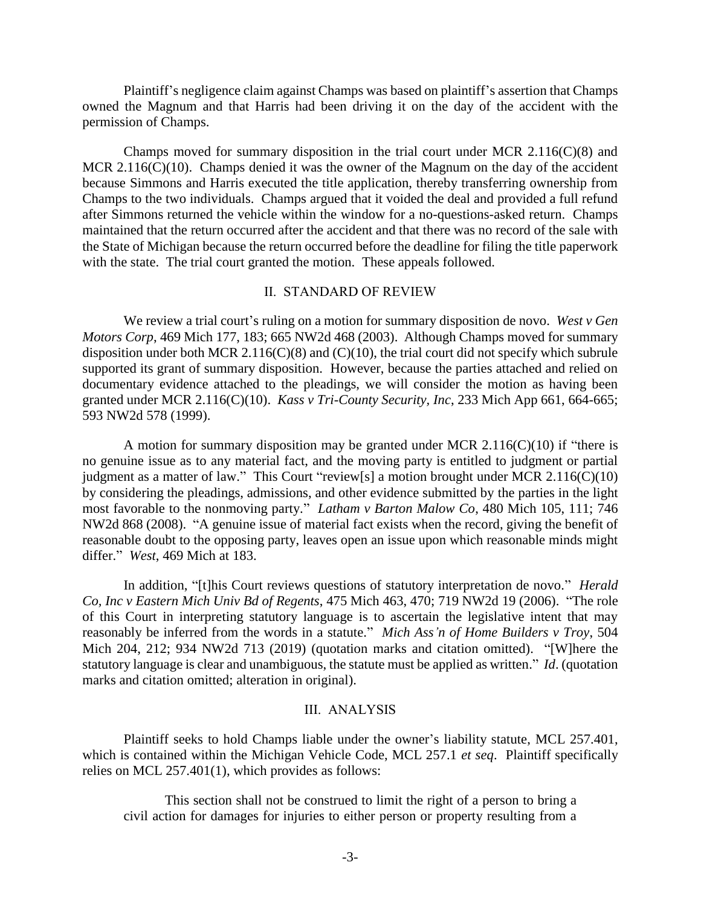Plaintiff's negligence claim against Champs was based on plaintiff's assertion that Champs owned the Magnum and that Harris had been driving it on the day of the accident with the permission of Champs.

Champs moved for summary disposition in the trial court under MCR  $2.116(C)(8)$  and MCR 2.116(C)(10). Champs denied it was the owner of the Magnum on the day of the accident because Simmons and Harris executed the title application, thereby transferring ownership from Champs to the two individuals. Champs argued that it voided the deal and provided a full refund after Simmons returned the vehicle within the window for a no-questions-asked return. Champs maintained that the return occurred after the accident and that there was no record of the sale with the State of Michigan because the return occurred before the deadline for filing the title paperwork with the state. The trial court granted the motion. These appeals followed.

#### II. STANDARD OF REVIEW

We review a trial court's ruling on a motion for summary disposition de novo. *West v Gen Motors Corp*, 469 Mich 177, 183; 665 NW2d 468 (2003). Although Champs moved for summary disposition under both MCR 2.116(C)(8) and (C)(10), the trial court did not specify which subrule supported its grant of summary disposition. However, because the parties attached and relied on documentary evidence attached to the pleadings, we will consider the motion as having been granted under MCR 2.116(C)(10). *Kass v Tri-County Security, Inc*, 233 Mich App 661, 664-665; 593 NW2d 578 (1999).

A motion for summary disposition may be granted under MCR  $2.116(C)(10)$  if "there is no genuine issue as to any material fact, and the moving party is entitled to judgment or partial judgment as a matter of law." This Court "review[s] a motion brought under MCR 2.116(C)(10) by considering the pleadings, admissions, and other evidence submitted by the parties in the light most favorable to the nonmoving party." *Latham v Barton Malow Co*, 480 Mich 105, 111; 746 NW2d 868 (2008). "A genuine issue of material fact exists when the record, giving the benefit of reasonable doubt to the opposing party, leaves open an issue upon which reasonable minds might differ." *West*, 469 Mich at 183.

In addition, "[t]his Court reviews questions of statutory interpretation de novo." *Herald Co, Inc v Eastern Mich Univ Bd of Regents*, 475 Mich 463, 470; 719 NW2d 19 (2006). "The role of this Court in interpreting statutory language is to ascertain the legislative intent that may reasonably be inferred from the words in a statute." *Mich Ass'n of Home Builders v Troy*, 504 Mich 204, 212; 934 NW2d 713 (2019) (quotation marks and citation omitted). "[W]here the statutory language is clear and unambiguous, the statute must be applied as written." *Id*. (quotation marks and citation omitted; alteration in original).

#### III. ANALYSIS

Plaintiff seeks to hold Champs liable under the owner's liability statute, MCL 257.401, which is contained within the Michigan Vehicle Code, MCL 257.1 *et seq*. Plaintiff specifically relies on MCL 257.401(1), which provides as follows:

This section shall not be construed to limit the right of a person to bring a civil action for damages for injuries to either person or property resulting from a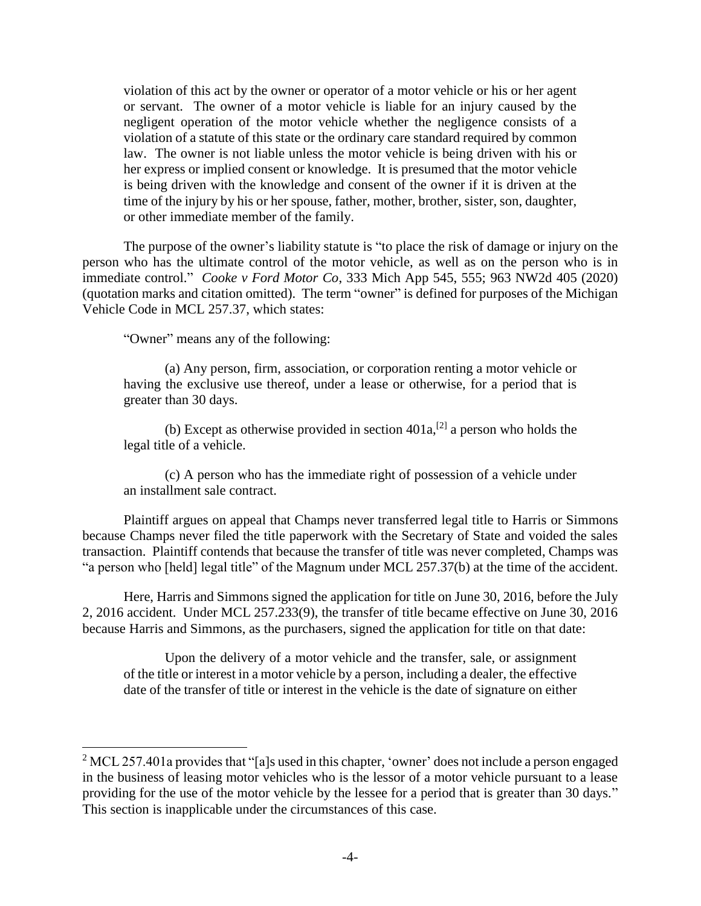violation of this act by the owner or operator of a motor vehicle or his or her agent or servant. The owner of a motor vehicle is liable for an injury caused by the negligent operation of the motor vehicle whether the negligence consists of a violation of a statute of this state or the ordinary care standard required by common law. The owner is not liable unless the motor vehicle is being driven with his or her express or implied consent or knowledge. It is presumed that the motor vehicle is being driven with the knowledge and consent of the owner if it is driven at the time of the injury by his or her spouse, father, mother, brother, sister, son, daughter, or other immediate member of the family.

The purpose of the owner's liability statute is "to place the risk of damage or injury on the person who has the ultimate control of the motor vehicle, as well as on the person who is in immediate control." *Cooke v Ford Motor Co*, 333 Mich App 545, 555; 963 NW2d 405 (2020) (quotation marks and citation omitted). The term "owner" is defined for purposes of the Michigan Vehicle Code in MCL 257.37, which states:

"Owner" means any of the following:

 $\overline{a}$ 

(a) Any person, firm, association, or corporation renting a motor vehicle or having the exclusive use thereof, under a lease or otherwise, for a period that is greater than 30 days.

(b) Except as otherwise provided in section  $401a$ <sup>[2]</sup> a person who holds the legal title of a vehicle.

(c) A person who has the immediate right of possession of a vehicle under an installment sale contract.

Plaintiff argues on appeal that Champs never transferred legal title to Harris or Simmons because Champs never filed the title paperwork with the Secretary of State and voided the sales transaction. Plaintiff contends that because the transfer of title was never completed, Champs was "a person who [held] legal title" of the Magnum under MCL 257.37(b) at the time of the accident.

Here, Harris and Simmons signed the application for title on June 30, 2016, before the July 2, 2016 accident. Under MCL 257.233(9), the transfer of title became effective on June 30, 2016 because Harris and Simmons, as the purchasers, signed the application for title on that date:

Upon the delivery of a motor vehicle and the transfer, sale, or assignment of the title or interest in a motor vehicle by a person, including a dealer, the effective date of the transfer of title or interest in the vehicle is the date of signature on either

 $2$  MCL 257.401a provides that "[a]s used in this chapter, 'owner' does not include a person engaged in the business of leasing motor vehicles who is the lessor of a motor vehicle pursuant to a lease providing for the use of the motor vehicle by the lessee for a period that is greater than 30 days." This section is inapplicable under the circumstances of this case.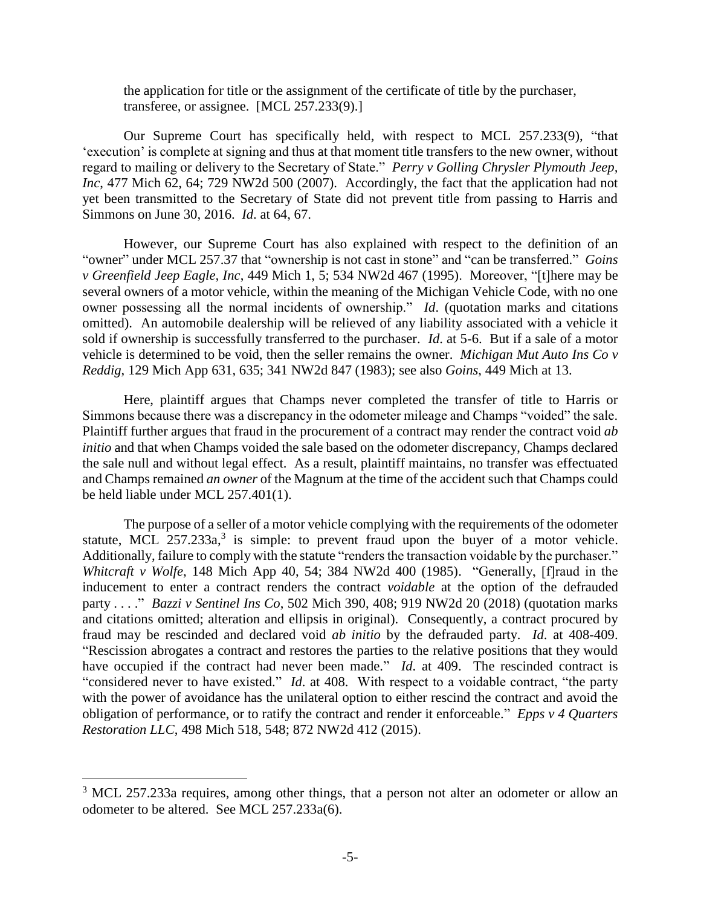the application for title or the assignment of the certificate of title by the purchaser, transferee, or assignee. [MCL 257.233(9).]

Our Supreme Court has specifically held, with respect to MCL 257.233(9), "that 'execution' is complete at signing and thus at that moment title transfers to the new owner, without regard to mailing or delivery to the Secretary of State." *Perry v Golling Chrysler Plymouth Jeep, Inc*, 477 Mich 62, 64; 729 NW2d 500 (2007). Accordingly, the fact that the application had not yet been transmitted to the Secretary of State did not prevent title from passing to Harris and Simmons on June 30, 2016. *Id*. at 64, 67.

However, our Supreme Court has also explained with respect to the definition of an "owner" under MCL 257.37 that "ownership is not cast in stone" and "can be transferred." *Goins v Greenfield Jeep Eagle, Inc*, 449 Mich 1, 5; 534 NW2d 467 (1995). Moreover, "[t]here may be several owners of a motor vehicle, within the meaning of the Michigan Vehicle Code, with no one owner possessing all the normal incidents of ownership." *Id*. (quotation marks and citations omitted). An automobile dealership will be relieved of any liability associated with a vehicle it sold if ownership is successfully transferred to the purchaser. *Id*. at 5-6. But if a sale of a motor vehicle is determined to be void, then the seller remains the owner. *Michigan Mut Auto Ins Co v Reddig*, 129 Mich App 631, 635; 341 NW2d 847 (1983); see also *Goins*, 449 Mich at 13.

Here, plaintiff argues that Champs never completed the transfer of title to Harris or Simmons because there was a discrepancy in the odometer mileage and Champs "voided" the sale. Plaintiff further argues that fraud in the procurement of a contract may render the contract void *ab initio* and that when Champs voided the sale based on the odometer discrepancy, Champs declared the sale null and without legal effect. As a result, plaintiff maintains, no transfer was effectuated and Champs remained *an owner* of the Magnum at the time of the accident such that Champs could be held liable under MCL 257.401(1).

The purpose of a seller of a motor vehicle complying with the requirements of the odometer statute, MCL  $257.233a$ ,<sup>3</sup> is simple: to prevent fraud upon the buyer of a motor vehicle. Additionally, failure to comply with the statute "renders the transaction voidable by the purchaser." *Whitcraft v Wolfe*, 148 Mich App 40, 54; 384 NW2d 400 (1985). "Generally, [f]raud in the inducement to enter a contract renders the contract *voidable* at the option of the defrauded party . . . ." *Bazzi v Sentinel Ins Co*, 502 Mich 390, 408; 919 NW2d 20 (2018) (quotation marks and citations omitted; alteration and ellipsis in original). Consequently, a contract procured by fraud may be rescinded and declared void *ab initio* by the defrauded party. *Id*. at 408-409. "Rescission abrogates a contract and restores the parties to the relative positions that they would have occupied if the contract had never been made." *Id*. at 409. The rescinded contract is "considered never to have existed." *Id*. at 408. With respect to a voidable contract, "the party with the power of avoidance has the unilateral option to either rescind the contract and avoid the obligation of performance, or to ratify the contract and render it enforceable." *Epps v 4 Quarters Restoration LLC*, 498 Mich 518, 548; 872 NW2d 412 (2015).

 $\overline{a}$ 

<sup>&</sup>lt;sup>3</sup> MCL 257.233a requires, among other things, that a person not alter an odometer or allow an odometer to be altered. See MCL 257.233a(6).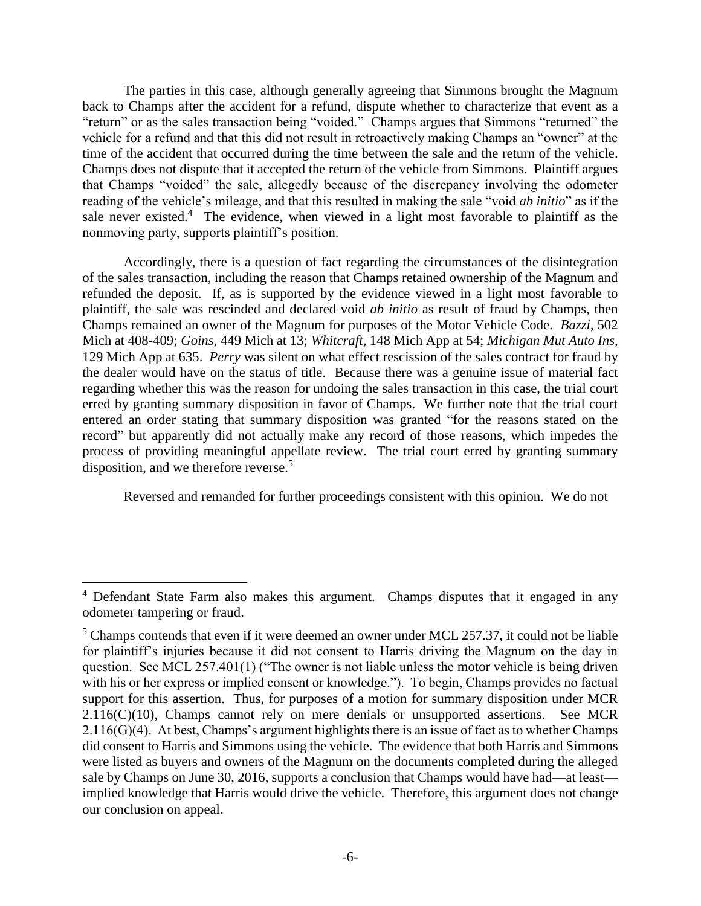The parties in this case, although generally agreeing that Simmons brought the Magnum back to Champs after the accident for a refund, dispute whether to characterize that event as a "return" or as the sales transaction being "voided." Champs argues that Simmons "returned" the vehicle for a refund and that this did not result in retroactively making Champs an "owner" at the time of the accident that occurred during the time between the sale and the return of the vehicle. Champs does not dispute that it accepted the return of the vehicle from Simmons. Plaintiff argues that Champs "voided" the sale, allegedly because of the discrepancy involving the odometer reading of the vehicle's mileage, and that this resulted in making the sale "void *ab initio*" as if the sale never existed.<sup>4</sup> The evidence, when viewed in a light most favorable to plaintiff as the nonmoving party, supports plaintiff's position.

Accordingly, there is a question of fact regarding the circumstances of the disintegration of the sales transaction, including the reason that Champs retained ownership of the Magnum and refunded the deposit. If, as is supported by the evidence viewed in a light most favorable to plaintiff, the sale was rescinded and declared void *ab initio* as result of fraud by Champs, then Champs remained an owner of the Magnum for purposes of the Motor Vehicle Code. *Bazzi*, 502 Mich at 408-409; *Goins*, 449 Mich at 13; *Whitcraft*, 148 Mich App at 54; *Michigan Mut Auto Ins*, 129 Mich App at 635. *Perry* was silent on what effect rescission of the sales contract for fraud by the dealer would have on the status of title. Because there was a genuine issue of material fact regarding whether this was the reason for undoing the sales transaction in this case, the trial court erred by granting summary disposition in favor of Champs. We further note that the trial court entered an order stating that summary disposition was granted "for the reasons stated on the record" but apparently did not actually make any record of those reasons, which impedes the process of providing meaningful appellate review. The trial court erred by granting summary disposition, and we therefore reverse.<sup>5</sup>

Reversed and remanded for further proceedings consistent with this opinion. We do not

 $\overline{a}$ 

<sup>&</sup>lt;sup>4</sup> Defendant State Farm also makes this argument. Champs disputes that it engaged in any odometer tampering or fraud.

 $<sup>5</sup>$  Champs contends that even if it were deemed an owner under MCL 257.37, it could not be liable</sup> for plaintiff's injuries because it did not consent to Harris driving the Magnum on the day in question. See MCL 257.401(1) ("The owner is not liable unless the motor vehicle is being driven with his or her express or implied consent or knowledge."). To begin, Champs provides no factual support for this assertion. Thus, for purposes of a motion for summary disposition under MCR  $2.116(C)(10)$ , Champs cannot rely on mere denials or unsupported assertions. See MCR 2.116(G)(4). At best, Champs's argument highlights there is an issue of fact as to whether Champs did consent to Harris and Simmons using the vehicle. The evidence that both Harris and Simmons were listed as buyers and owners of the Magnum on the documents completed during the alleged sale by Champs on June 30, 2016, supports a conclusion that Champs would have had—at least implied knowledge that Harris would drive the vehicle. Therefore, this argument does not change our conclusion on appeal.